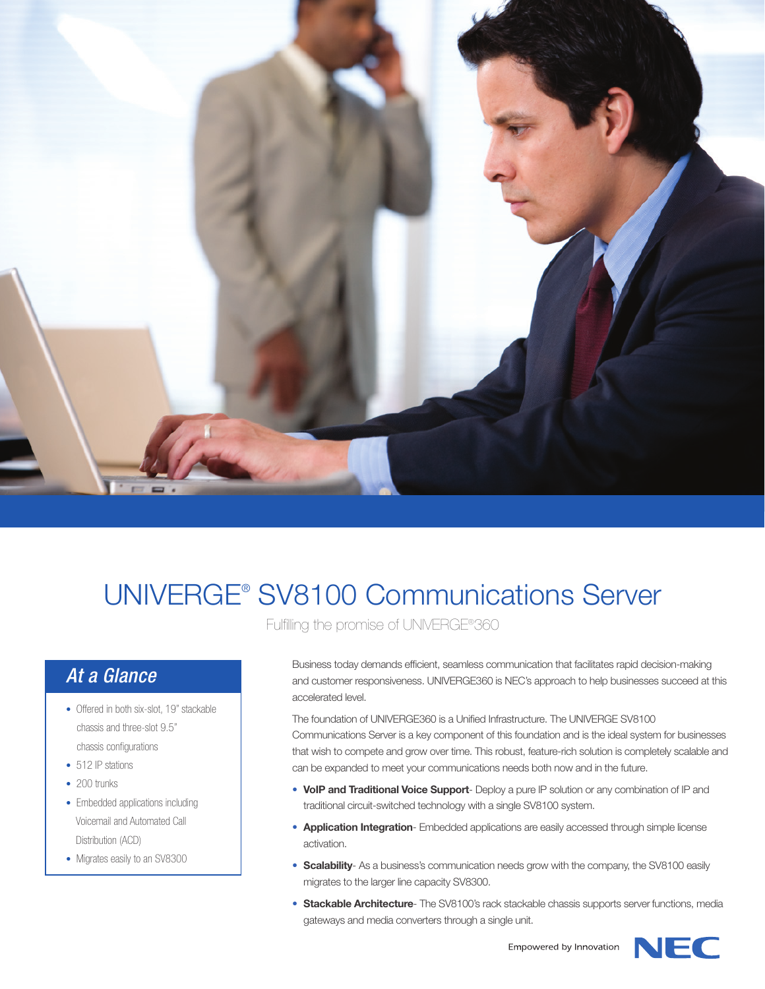

## UNIVERGE® SV8100 Communications Server

Fulfilling the promise of UNIVERGE®360

## *At a Glance*

- Offered in both six-slot, 19" stackable chassis and three-slot 9.5" chassis configurations
- 512 IP stations
- 200 trunks
- Embedded applications including Voicemail and Automated Call Distribution (ACD)
- Migrates easily to an SV8300

Business today demands efficient, seamless communication that facilitates rapid decision-making and customer responsiveness. UNIVERGE360 is NEC's approach to help businesses succeed at this accelerated level.

The foundation of UNIVERGE360 is a Unified Infrastructure. The UNIVERGE SV8100 Communications Server is a key component of this foundation and is the ideal system for businesses that wish to compete and grow over time. This robust, feature-rich solution is completely scalable and can be expanded to meet your communications needs both now and in the future.

- **VoIP and Traditional Voice Support** Deploy a pure IP solution or any combination of IP and traditional circuit-switched technology with a single SV8100 system.
- **Application Integration** Embedded applications are easily accessed through simple license activation.
- **Scalability** As a business's communication needs grow with the company, the SV8100 easily migrates to the larger line capacity SV8300.
- **Stackable Architecture** The SV8100's rack stackable chassis supports server functions, media gateways and media converters through a single unit.